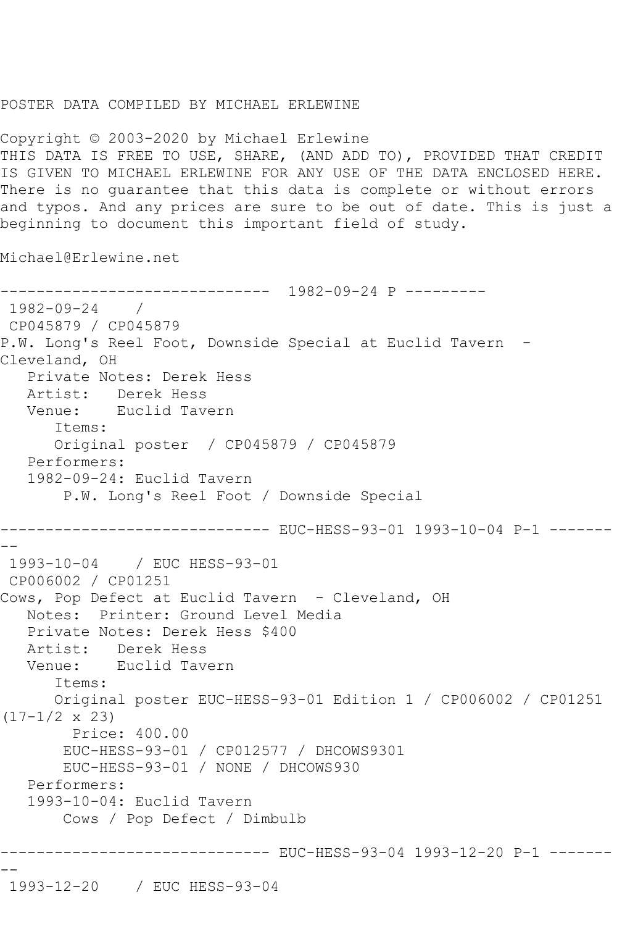## POSTER DATA COMPILED BY MICHAEL ERLEWINE

Copyright © 2003-2020 by Michael Erlewine THIS DATA IS FREE TO USE, SHARE, (AND ADD TO), PROVIDED THAT CREDIT IS GIVEN TO MICHAEL ERLEWINE FOR ANY USE OF THE DATA ENCLOSED HERE. There is no guarantee that this data is complete or without errors and typos. And any prices are sure to be out of date. This is just a beginning to document this important field of study.

Michael@Erlewine.net

```
------------------------------ 1982-09-24 P ---------
1982-09-24 / 
CP045879 / CP045879
P.W. Long's Reel Foot, Downside Special at Euclid Tavern -
Cleveland, OH
   Private Notes: Derek Hess
   Artist: Derek Hess
   Venue: Euclid Tavern
       Items:
      Original poster / CP045879 / CP045879
   Performers:
   1982-09-24: Euclid Tavern
        P.W. Long's Reel Foot / Downside Special
------------------------------ EUC-HESS-93-01 1993-10-04 P-1 -------
--
1993-10-04 / EUC HESS-93-01
CP006002 / CP01251
Cows, Pop Defect at Euclid Tavern - Cleveland, OH
   Notes: Printer: Ground Level Media
   Private Notes: Derek Hess $400
  Artist: Derek Hess<br>Venue: Euclid Tave
            Euclid Tavern
       Items:
      Original poster EUC-HESS-93-01 Edition 1 / CP006002 / CP01251 
(17-1/2 \times 23) Price: 400.00
        EUC-HESS-93-01 / CP012577 / DHCOWS9301
        EUC-HESS-93-01 / NONE / DHCOWS930
   Performers:
   1993-10-04: Euclid Tavern
        Cows / Pop Defect / Dimbulb
------------------------------ EUC-HESS-93-04 1993-12-20 P-1 -------
--
1993-12-20 / EUC HESS-93-04
```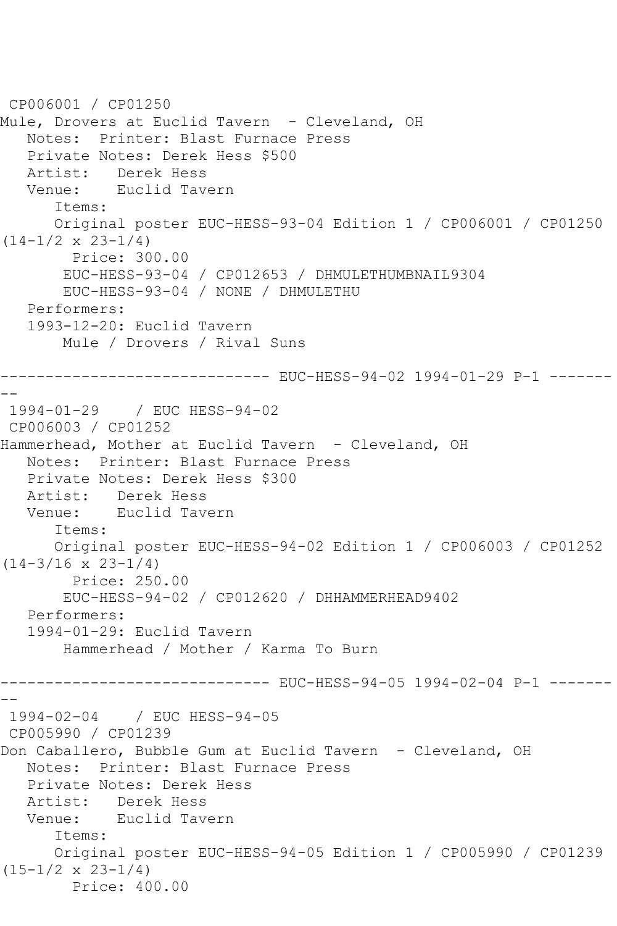```
CP006001 / CP01250
Mule, Drovers at Euclid Tavern - Cleveland, OH
   Notes: Printer: Blast Furnace Press
   Private Notes: Derek Hess $500
   Artist: Derek Hess
   Venue: Euclid Tavern
      Items:
      Original poster EUC-HESS-93-04 Edition 1 / CP006001 / CP01250 
(14-1/2 \times 23-1/4) Price: 300.00
       EUC-HESS-93-04 / CP012653 / DHMULETHUMBNAIL9304
       EUC-HESS-93-04 / NONE / DHMULETHU
   Performers:
   1993-12-20: Euclid Tavern
       Mule / Drovers / Rival Suns
                     ---------- EUC-HESS-94-02 1994-01-29 P-1 -------
--
1994-01-29 / EUC HESS-94-02
CP006003 / CP01252
Hammerhead, Mother at Euclid Tavern - Cleveland, OH
   Notes: Printer: Blast Furnace Press
   Private Notes: Derek Hess $300
   Artist: Derek Hess
   Venue: Euclid Tavern
      Items:
       Original poster EUC-HESS-94-02 Edition 1 / CP006003 / CP01252 
(14-3/16 \times 23-1/4) Price: 250.00
       EUC-HESS-94-02 / CP012620 / DHHAMMERHEAD9402
   Performers:
   1994-01-29: Euclid Tavern
       Hammerhead / Mother / Karma To Burn
------------------------------ EUC-HESS-94-05 1994-02-04 P-1 -------
--
1994-02-04 / EUC HESS-94-05
CP005990 / CP01239
Don Caballero, Bubble Gum at Euclid Tavern - Cleveland, OH
   Notes: Printer: Blast Furnace Press
   Private Notes: Derek Hess
   Artist: Derek Hess
   Venue: Euclid Tavern
       Items:
      Original poster EUC-HESS-94-05 Edition 1 / CP005990 / CP01239 
(15-1/2 \times 23-1/4) Price: 400.00
```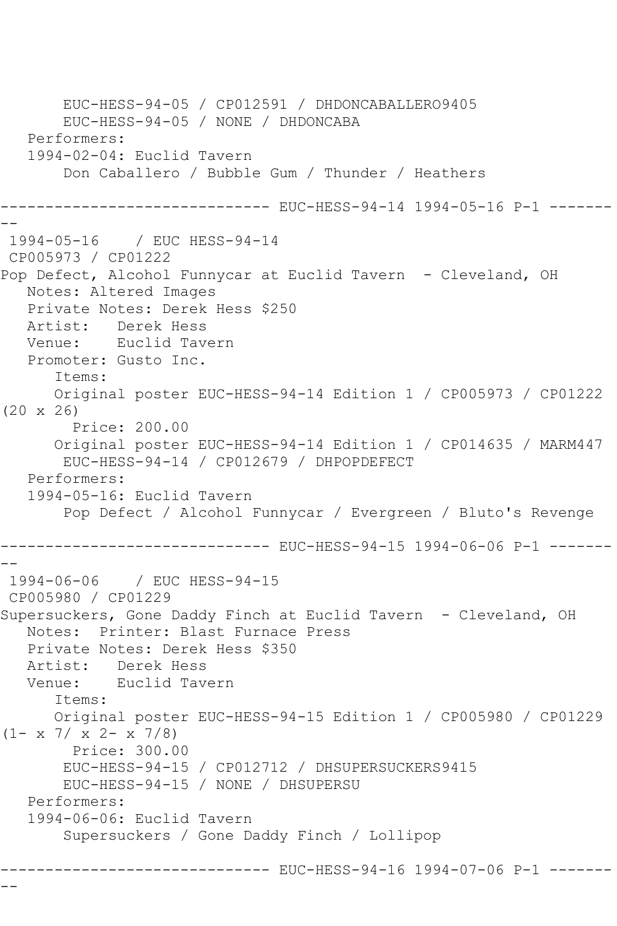```
 EUC-HESS-94-05 / CP012591 / DHDONCABALLERO9405
        EUC-HESS-94-05 / NONE / DHDONCABA
    Performers:
    1994-02-04: Euclid Tavern
        Don Caballero / Bubble Gum / Thunder / Heathers
        ----------------------    EUC-HESS-94-14                        1994-05-16    P-1 -------
--
1994-05-16 / EUC HESS-94-14
CP005973 / CP01222
Pop Defect, Alcohol Funnycar at Euclid Tavern - Cleveland, OH
   Notes: Altered Images
    Private Notes: Derek Hess $250
   Artist: Derek Hess
   Venue: Euclid Tavern
    Promoter: Gusto Inc.
       Items:
       Original poster EUC-HESS-94-14 Edition 1 / CP005973 / CP01222 
(20 x 26)
         Price: 200.00
       Original poster EUC-HESS-94-14 Edition 1 / CP014635 / MARM447
        EUC-HESS-94-14 / CP012679 / DHPOPDEFECT
   Performers:
    1994-05-16: Euclid Tavern
        Pop Defect / Alcohol Funnycar / Evergreen / Bluto's Revenge
------------------------------ EUC-HESS-94-15 1994-06-06 P-1 -------
--
1994-06-06 / EUC HESS-94-15
CP005980 / CP01229
Supersuckers, Gone Daddy Finch at Euclid Tavern - Cleveland, OH
    Notes: Printer: Blast Furnace Press
   Private Notes: Derek Hess $350
   Artist: Derek Hess
   Venue: Euclid Tavern
       Items:
       Original poster EUC-HESS-94-15 Edition 1 / CP005980 / CP01229 
(1 - x 7 / x 2 - x 7/8) Price: 300.00
        EUC-HESS-94-15 / CP012712 / DHSUPERSUCKERS9415
        EUC-HESS-94-15 / NONE / DHSUPERSU
    Performers:
    1994-06-06: Euclid Tavern
        Supersuckers / Gone Daddy Finch / Lollipop
         ------------------------------ EUC-HESS-94-16 1994-07-06 P-1 -------
```
--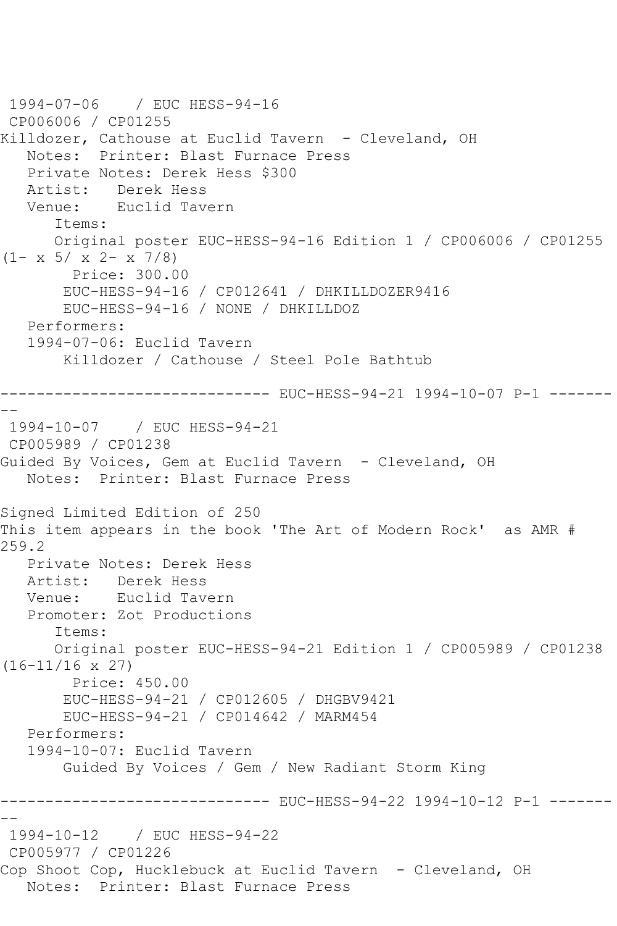```
1994-07-06 / EUC HESS-94-16
CP006006 / CP01255
Killdozer, Cathouse at Euclid Tavern - Cleveland, OH
   Notes: Printer: Blast Furnace Press
   Private Notes: Derek Hess $300
   Artist: Derek Hess
   Venue: Euclid Tavern
      Items:
      Original poster EUC-HESS-94-16 Edition 1 / CP006006 / CP01255 
(1 - x 5 / x 2 - x 7/8) Price: 300.00
       EUC-HESS-94-16 / CP012641 / DHKILLDOZER9416
       EUC-HESS-94-16 / NONE / DHKILLDOZ
   Performers:
   1994-07-06: Euclid Tavern
       Killdozer / Cathouse / Steel Pole Bathtub
------------------------------ EUC-HESS-94-21 1994-10-07 P-1 -------
--
1994-10-07 / EUC HESS-94-21
CP005989 / CP01238
Guided By Voices, Gem at Euclid Tavern - Cleveland, OH
   Notes: Printer: Blast Furnace Press
Signed Limited Edition of 250
This item appears in the book 'The Art of Modern Rock' as AMR # 
259.2
   Private Notes: Derek Hess
   Artist: Derek Hess
   Venue: Euclid Tavern
   Promoter: Zot Productions
      Items:
      Original poster EUC-HESS-94-21 Edition 1 / CP005989 / CP01238 
(16-11/16 x 27)
        Price: 450.00
       EUC-HESS-94-21 / CP012605 / DHGBV9421
       EUC-HESS-94-21 / CP014642 / MARM454
   Performers:
   1994-10-07: Euclid Tavern
       Guided By Voices / Gem / New Radiant Storm King
------------------------------ EUC-HESS-94-22 1994-10-12 P-1 -------
--
1994-10-12 / EUC HESS-94-22
CP005977 / CP01226
Cop Shoot Cop, Hucklebuck at Euclid Tavern - Cleveland, OH
   Notes: Printer: Blast Furnace Press
```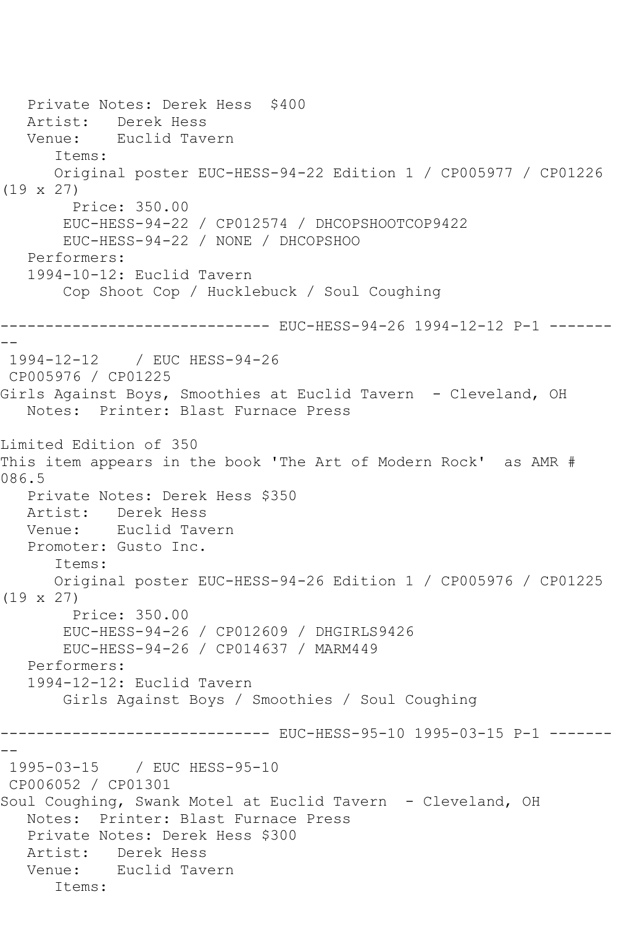```
 Private Notes: Derek Hess $400
   Artist: Derek Hess
   Venue: Euclid Tavern
       Items:
      Original poster EUC-HESS-94-22 Edition 1 / CP005977 / CP01226 
(19 x 27)
        Price: 350.00
        EUC-HESS-94-22 / CP012574 / DHCOPSHOOTCOP9422
        EUC-HESS-94-22 / NONE / DHCOPSHOO
   Performers:
   1994-10-12: Euclid Tavern
        Cop Shoot Cop / Hucklebuck / Soul Coughing
------------------------------ EUC-HESS-94-26 1994-12-12 P-1 -------
--
1994-12-12 / EUC HESS-94-26
CP005976 / CP01225
Girls Against Boys, Smoothies at Euclid Tavern - Cleveland, OH
   Notes: Printer: Blast Furnace Press
Limited Edition of 350
This item appears in the book 'The Art of Modern Rock' as AMR # 
086.5
   Private Notes: Derek Hess $350
  Artist: Derek Hess<br>Venue: Euclid Tav
            Euclid Tavern
   Promoter: Gusto Inc.
       Items:
      Original poster EUC-HESS-94-26 Edition 1 / CP005976 / CP01225 
(19 x 27)
        Price: 350.00
        EUC-HESS-94-26 / CP012609 / DHGIRLS9426
        EUC-HESS-94-26 / CP014637 / MARM449
   Performers:
   1994-12-12: Euclid Tavern
        Girls Against Boys / Smoothies / Soul Coughing
------------------------------ EUC-HESS-95-10 1995-03-15 P-1 -------
--
1995-03-15 / EUC HESS-95-10
CP006052 / CP01301
Soul Coughing, Swank Motel at Euclid Tavern - Cleveland, OH
   Notes: Printer: Blast Furnace Press
   Private Notes: Derek Hess $300
   Artist: Derek Hess
   Venue: Euclid Tavern
      Items:
```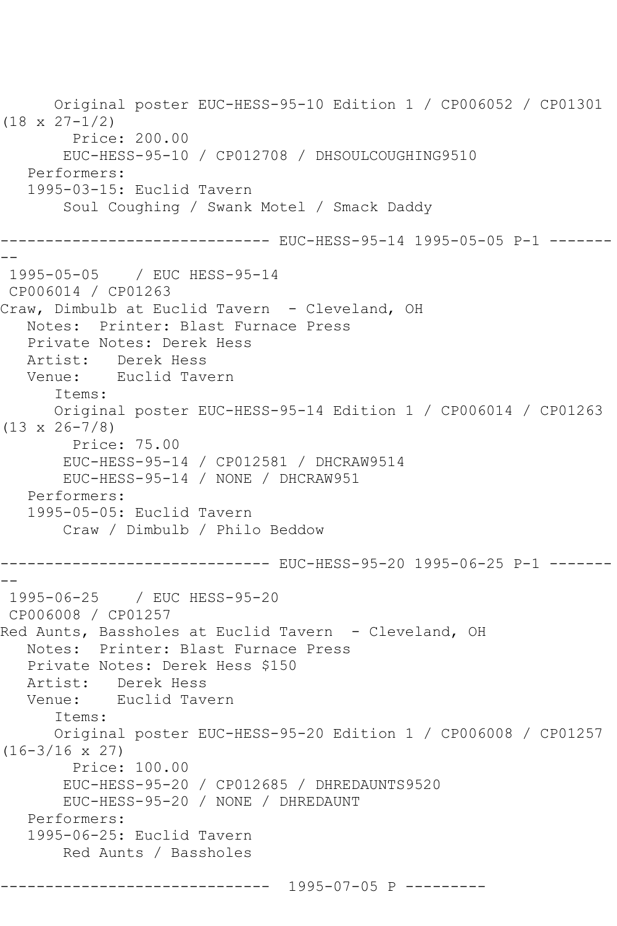Original poster EUC-HESS-95-10 Edition 1 / CP006052 / CP01301 (18 x 27-1/2) Price: 200.00 EUC-HESS-95-10 / CP012708 / DHSOULCOUGHING9510 Performers: 1995-03-15: Euclid Tavern Soul Coughing / Swank Motel / Smack Daddy ------------------------------ EUC-HESS-95-14 1995-05-05 P-1 ------- -- 1995-05-05 / EUC HESS-95-14 CP006014 / CP01263 Craw, Dimbulb at Euclid Tavern - Cleveland, OH Notes: Printer: Blast Furnace Press Private Notes: Derek Hess Artist: Derek Hess Venue: Euclid Tavern Items: Original poster EUC-HESS-95-14 Edition 1 / CP006014 / CP01263 (13 x 26-7/8) Price: 75.00 EUC-HESS-95-14 / CP012581 / DHCRAW9514 EUC-HESS-95-14 / NONE / DHCRAW951 Performers: 1995-05-05: Euclid Tavern Craw / Dimbulb / Philo Beddow ------------------------------ EUC-HESS-95-20 1995-06-25 P-1 ------- -- 1995-06-25 / EUC HESS-95-20 CP006008 / CP01257 Red Aunts, Bassholes at Euclid Tavern - Cleveland, OH Notes: Printer: Blast Furnace Press Private Notes: Derek Hess \$150 Artist: Derek Hess Venue: Euclid Tavern Items: Original poster EUC-HESS-95-20 Edition 1 / CP006008 / CP01257 (16-3/16 x 27) Price: 100.00 EUC-HESS-95-20 / CP012685 / DHREDAUNTS9520 EUC-HESS-95-20 / NONE / DHREDAUNT Performers: 1995-06-25: Euclid Tavern Red Aunts / Bassholes ------------------------------ 1995-07-05 P ---------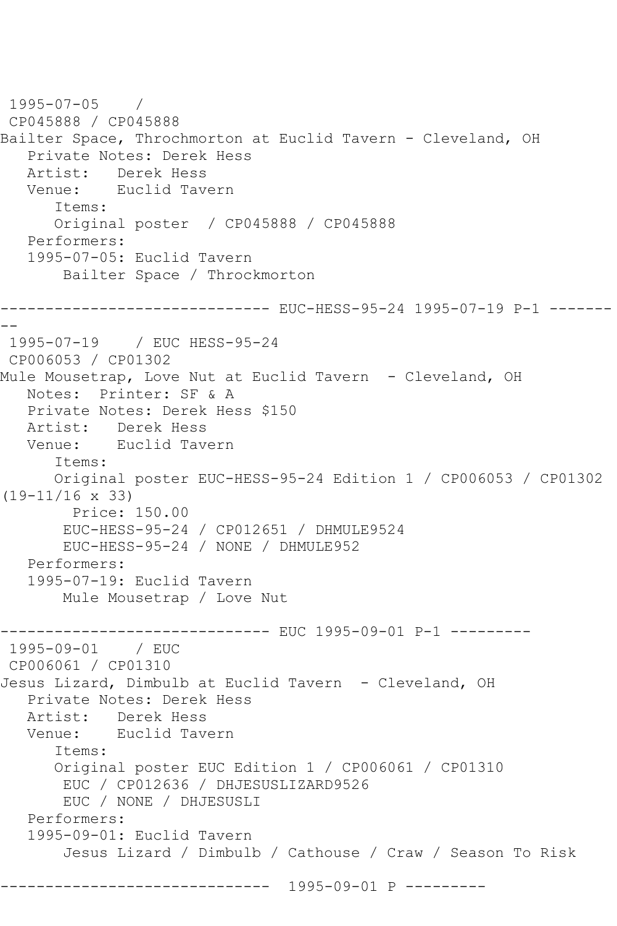```
1995-07-05 / 
CP045888 / CP045888
Bailter Space, Throchmorton at Euclid Tavern - Cleveland, OH
   Private Notes: Derek Hess
   Artist: Derek Hess
   Venue: Euclid Tavern
      Items:
      Original poster / CP045888 / CP045888
   Performers:
   1995-07-05: Euclid Tavern
       Bailter Space / Throckmorton
------------------------------ EUC-HESS-95-24 1995-07-19 P-1 -------
--
 1995-07-19 / EUC HESS-95-24
CP006053 / CP01302
Mule Mousetrap, Love Nut at Euclid Tavern - Cleveland, OH
   Notes: Printer: SF & A
   Private Notes: Derek Hess $150
   Artist: Derek Hess
   Venue: Euclid Tavern
      Items:
      Original poster EUC-HESS-95-24 Edition 1 / CP006053 / CP01302 
(19-11/16 x 33)
        Price: 150.00
       EUC-HESS-95-24 / CP012651 / DHMULE9524
       EUC-HESS-95-24 / NONE / DHMULE952
   Performers:
   1995-07-19: Euclid Tavern
       Mule Mousetrap / Love Nut
------------------------------ EUC 1995-09-01 P-1 ---------
1995-09-01 / EUC 
CP006061 / CP01310
Jesus Lizard, Dimbulb at Euclid Tavern - Cleveland, OH
   Private Notes: Derek Hess
   Artist: Derek Hess
   Venue: Euclid Tavern
      Items:
      Original poster EUC Edition 1 / CP006061 / CP01310
       EUC / CP012636 / DHJESUSLIZARD9526
       EUC / NONE / DHJESUSLI
   Performers:
   1995-09-01: Euclid Tavern
       Jesus Lizard / Dimbulb / Cathouse / Craw / Season To Risk
------------------------------ 1995-09-01 P ---------
```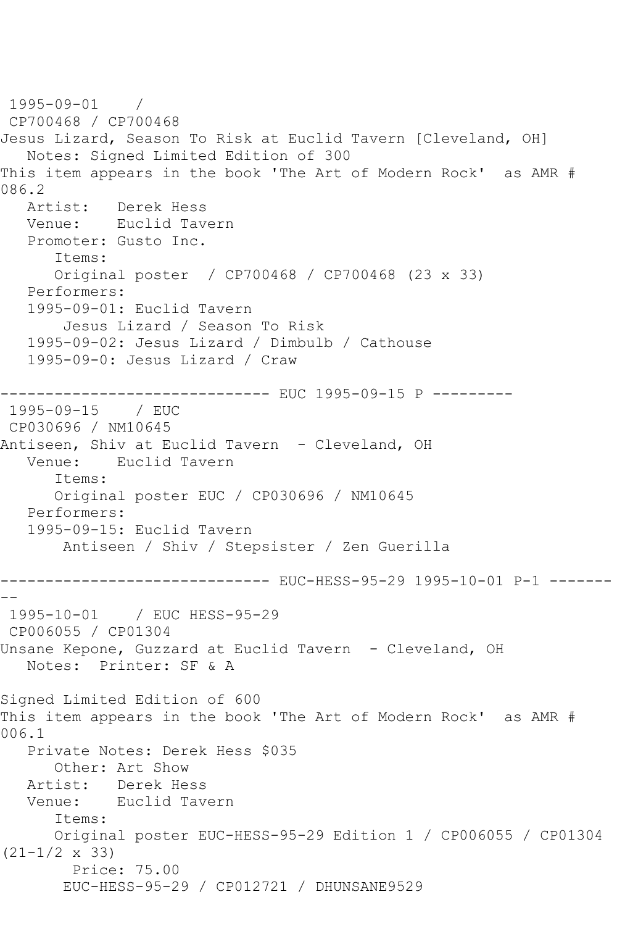1995-09-01 / CP700468 / CP700468 Jesus Lizard, Season To Risk at Euclid Tavern [Cleveland, OH] Notes: Signed Limited Edition of 300 This item appears in the book 'The Art of Modern Rock' as AMR # 086.2 Artist: Derek Hess Venue: Euclid Tavern Promoter: Gusto Inc. Items: Original poster / CP700468 / CP700468 (23 x 33) Performers: 1995-09-01: Euclid Tavern Jesus Lizard / Season To Risk 1995-09-02: Jesus Lizard / Dimbulb / Cathouse 1995-09-0: Jesus Lizard / Craw ------------------------------ EUC 1995-09-15 P --------- 1995-09-15 / EUC CP030696 / NM10645 Antiseen, Shiv at Euclid Tavern - Cleveland, OH Venue: Euclid Tavern Items: Original poster EUC / CP030696 / NM10645 Performers: 1995-09-15: Euclid Tavern Antiseen / Shiv / Stepsister / Zen Guerilla ------------------------------ EUC-HESS-95-29 1995-10-01 P-1 -------  $- -$ 1995-10-01 / EUC HESS-95-29 CP006055 / CP01304 Unsane Kepone, Guzzard at Euclid Tavern - Cleveland, OH Notes: Printer: SF & A Signed Limited Edition of 600 This item appears in the book 'The Art of Modern Rock' as AMR # 006.1 Private Notes: Derek Hess \$035 Other: Art Show Artist: Derek Hess<br>Venue: Euclid Tav Euclid Tavern Items: Original poster EUC-HESS-95-29 Edition 1 / CP006055 / CP01304 (21-1/2 x 33) Price: 75.00 EUC-HESS-95-29 / CP012721 / DHUNSANE9529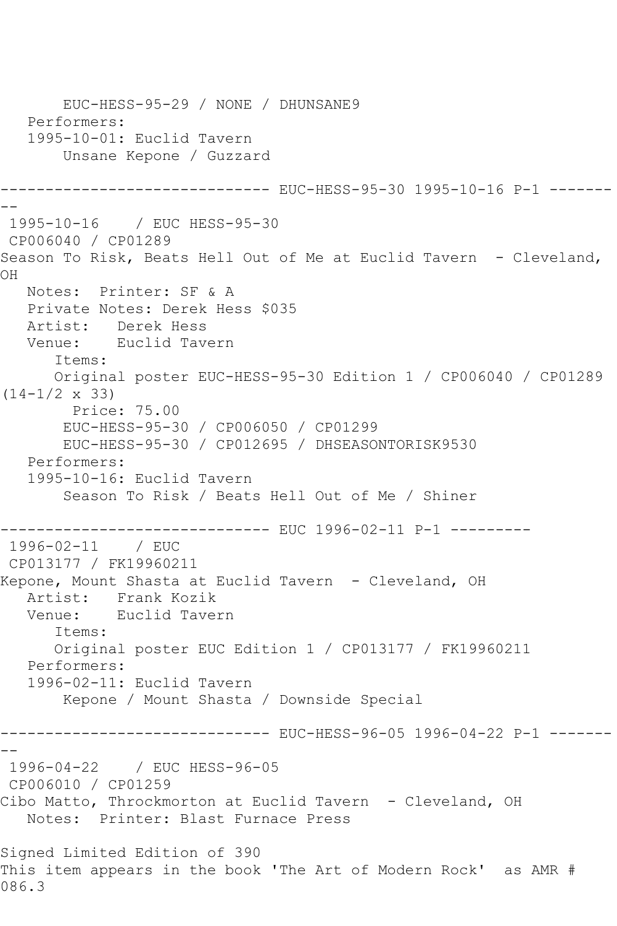EUC-HESS-95-29 / NONE / DHUNSANE9 Performers: 1995-10-01: Euclid Tavern Unsane Kepone / Guzzard ------------------------------ EUC-HESS-95-30 1995-10-16 P-1 ------- -- 1995-10-16 / EUC HESS-95-30 CP006040 / CP01289 Season To Risk, Beats Hell Out of Me at Euclid Tavern - Cleveland, OH Notes: Printer: SF & A Private Notes: Derek Hess \$035 Artist: Derek Hess Venue: Euclid Tavern Items: Original poster EUC-HESS-95-30 Edition 1 / CP006040 / CP01289  $(14-1/2 \times 33)$  Price: 75.00 EUC-HESS-95-30 / CP006050 / CP01299 EUC-HESS-95-30 / CP012695 / DHSEASONTORISK9530 Performers: 1995-10-16: Euclid Tavern Season To Risk / Beats Hell Out of Me / Shiner ------------------------------ EUC 1996-02-11 P-1 --------- 1996-02-11 / EUC CP013177 / FK19960211 Kepone, Mount Shasta at Euclid Tavern - Cleveland, OH Artist: Frank Kozik Venue: Euclid Tavern Items: Original poster EUC Edition 1 / CP013177 / FK19960211 Performers: 1996-02-11: Euclid Tavern Kepone / Mount Shasta / Downside Special ------------------------------ EUC-HESS-96-05 1996-04-22 P-1 ------- -- 1996-04-22 / EUC HESS-96-05 CP006010 / CP01259 Cibo Matto, Throckmorton at Euclid Tavern - Cleveland, OH Notes: Printer: Blast Furnace Press Signed Limited Edition of 390 This item appears in the book 'The Art of Modern Rock' as AMR # 086.3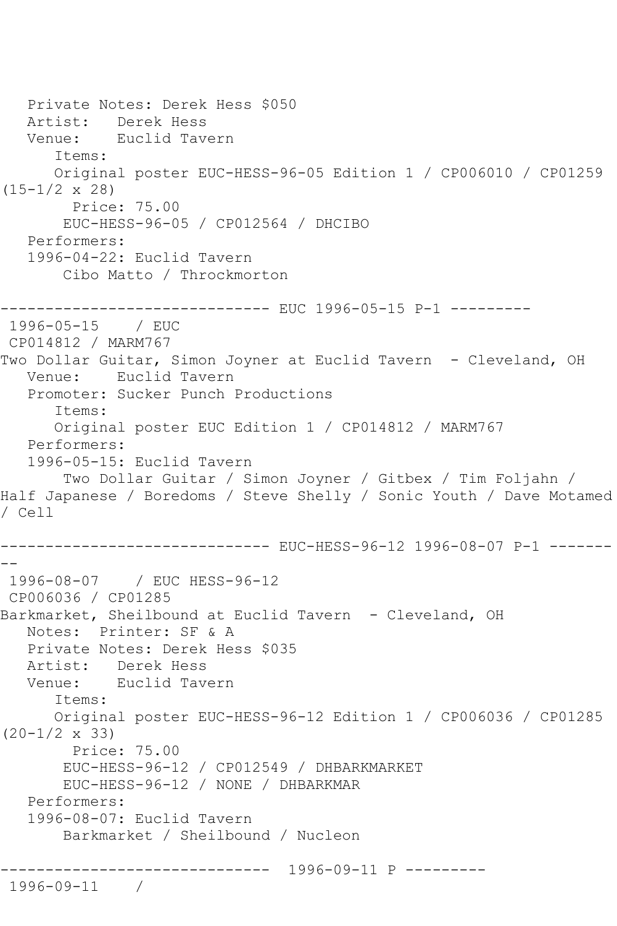```
 Private Notes: Derek Hess $050
   Artist: Derek Hess
   Venue: Euclid Tavern
      Items:
      Original poster EUC-HESS-96-05 Edition 1 / CP006010 / CP01259 
(15-1/2 x 28)
        Price: 75.00
       EUC-HESS-96-05 / CP012564 / DHCIBO
   Performers:
   1996-04-22: Euclid Tavern
       Cibo Matto / Throckmorton
------------------------------ EUC 1996-05-15 P-1 ---------
1996-05-15 / EUC 
CP014812 / MARM767
Two Dollar Guitar, Simon Joyner at Euclid Tavern - Cleveland, OH
   Venue: Euclid Tavern
   Promoter: Sucker Punch Productions
      Items:
      Original poster EUC Edition 1 / CP014812 / MARM767
   Performers:
   1996-05-15: Euclid Tavern
       Two Dollar Guitar / Simon Joyner / Gitbex / Tim Foljahn / 
Half Japanese / Boredoms / Steve Shelly / Sonic Youth / Dave Motamed 
/ Cell
------------------------------ EUC-HESS-96-12 1996-08-07 P-1 -------
--
1996-08-07 / EUC HESS-96-12
CP006036 / CP01285
Barkmarket, Sheilbound at Euclid Tavern - Cleveland, OH
   Notes: Printer: SF & A
   Private Notes: Derek Hess $035
   Artist: Derek Hess
   Venue: Euclid Tavern
      Items:
      Original poster EUC-HESS-96-12 Edition 1 / CP006036 / CP01285 
(20-1/2 x 33)
        Price: 75.00
       EUC-HESS-96-12 / CP012549 / DHBARKMARKET
       EUC-HESS-96-12 / NONE / DHBARKMAR
   Performers:
   1996-08-07: Euclid Tavern
       Barkmarket / Sheilbound / Nucleon
------------------------------ 1996-09-11 P ---------
1996-09-11 /
```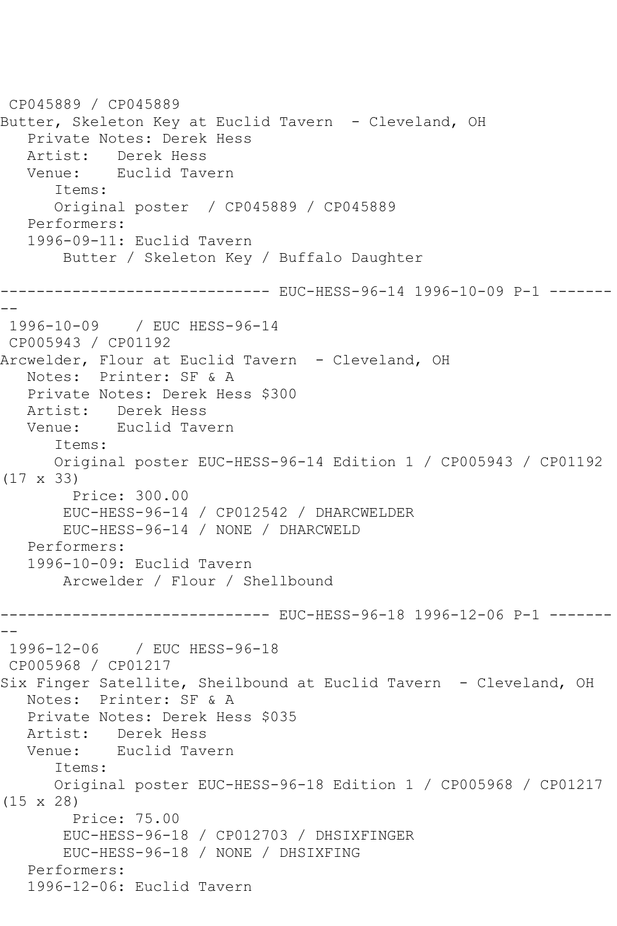```
CP045889 / CP045889
Butter, Skeleton Key at Euclid Tavern - Cleveland, OH
   Private Notes: Derek Hess
  Artist: Derek Hess<br>Venue: Euclid Tave
           Euclid Tavern
      Items:
      Original poster / CP045889 / CP045889
   Performers:
   1996-09-11: Euclid Tavern
       Butter / Skeleton Key / Buffalo Daughter
------------------------------ EUC-HESS-96-14 1996-10-09 P-1 -------
--
1996-10-09 / EUC HESS-96-14
CP005943 / CP01192
Arcwelder, Flour at Euclid Tavern - Cleveland, OH
   Notes: Printer: SF & A
   Private Notes: Derek Hess $300
   Artist: Derek Hess
   Venue: Euclid Tavern
       Items:
      Original poster EUC-HESS-96-14 Edition 1 / CP005943 / CP01192 
(17 x 33)
        Price: 300.00
       EUC-HESS-96-14 / CP012542 / DHARCWELDER
       EUC-HESS-96-14 / NONE / DHARCWELD
   Performers:
   1996-10-09: Euclid Tavern
       Arcwelder / Flour / Shellbound
------------------------------ EUC-HESS-96-18 1996-12-06 P-1 -------
--
 1996-12-06 / EUC HESS-96-18
CP005968 / CP01217
Six Finger Satellite, Sheilbound at Euclid Tavern - Cleveland, OH
   Notes: Printer: SF & A
   Private Notes: Derek Hess $035
   Artist: Derek Hess
   Venue: Euclid Tavern
       Items:
      Original poster EUC-HESS-96-18 Edition 1 / CP005968 / CP01217 
(15 x 28)
        Price: 75.00
       EUC-HESS-96-18 / CP012703 / DHSIXFINGER
        EUC-HESS-96-18 / NONE / DHSIXFING
   Performers:
   1996-12-06: Euclid Tavern
```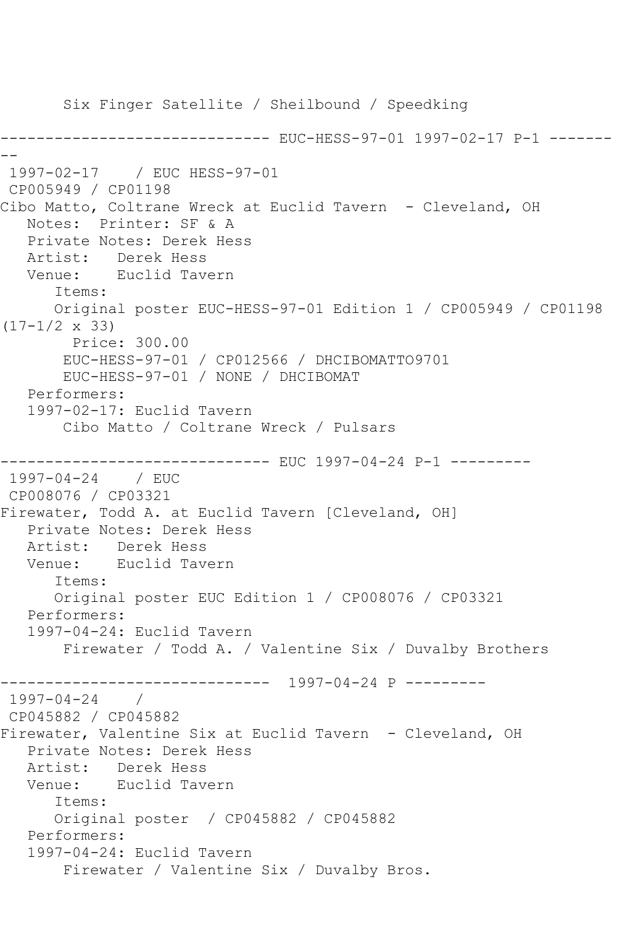Six Finger Satellite / Sheilbound / Speedking ------------------------------ EUC-HESS-97-01 1997-02-17 P-1 ------- -- 1997-02-17 / EUC HESS-97-01 CP005949 / CP01198 Cibo Matto, Coltrane Wreck at Euclid Tavern - Cleveland, OH Notes: Printer: SF & A Private Notes: Derek Hess Artist: Derek Hess Venue: Euclid Tavern Items: Original poster EUC-HESS-97-01 Edition 1 / CP005949 / CP01198  $(17-1/2 \times 33)$  Price: 300.00 EUC-HESS-97-01 / CP012566 / DHCIBOMATTO9701 EUC-HESS-97-01 / NONE / DHCIBOMAT Performers: 1997-02-17: Euclid Tavern Cibo Matto / Coltrane Wreck / Pulsars ------------------------------ EUC 1997-04-24 P-1 --------- 1997-04-24 / EUC CP008076 / CP03321 Firewater, Todd A. at Euclid Tavern [Cleveland, OH] Private Notes: Derek Hess Artist: Derek Hess Venue: Euclid Tavern Items: Original poster EUC Edition 1 / CP008076 / CP03321 Performers: 1997-04-24: Euclid Tavern Firewater / Todd A. / Valentine Six / Duvalby Brothers ------------------------------ 1997-04-24 P --------- 1997-04-24 / CP045882 / CP045882 Firewater, Valentine Six at Euclid Tavern - Cleveland, OH Private Notes: Derek Hess Artist: Derek Hess Venue: Euclid Tavern Items: Original poster / CP045882 / CP045882 Performers: 1997-04-24: Euclid Tavern Firewater / Valentine Six / Duvalby Bros.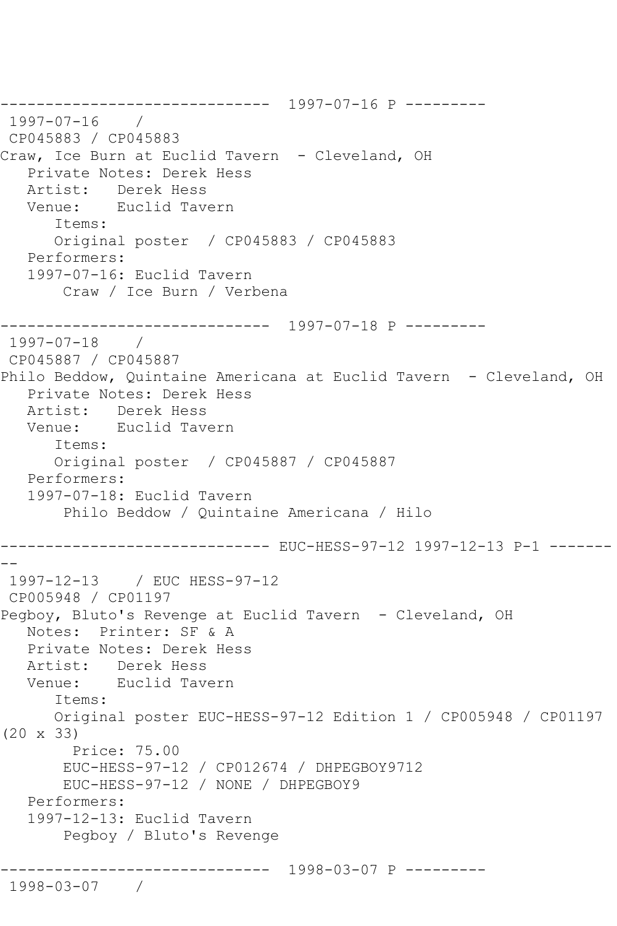```
------------------------------ 1997-07-16 P ---------
1997-07-16 / 
CP045883 / CP045883
Craw, Ice Burn at Euclid Tavern - Cleveland, OH
   Private Notes: Derek Hess
   Artist: Derek Hess
   Venue: Euclid Tavern
       Items:
      Original poster / CP045883 / CP045883
   Performers:
   1997-07-16: Euclid Tavern
        Craw / Ice Burn / Verbena
------------------------------ 1997-07-18 P ---------
1997-07-18 / 
CP045887 / CP045887
Philo Beddow, Quintaine Americana at Euclid Tavern - Cleveland, OH
   Private Notes: Derek Hess
  Artist: Derek Hess<br>Venue: Euclid Tave
            Euclid Tavern
       Items:
      Original poster / CP045887 / CP045887
   Performers:
   1997-07-18: Euclid Tavern
        Philo Beddow / Quintaine Americana / Hilo
------------------------------ EUC-HESS-97-12 1997-12-13 P-1 -------
--
1997-12-13 / EUC HESS-97-12
CP005948 / CP01197
Pegboy, Bluto's Revenge at Euclid Tavern - Cleveland, OH
   Notes: Printer: SF & A
   Private Notes: Derek Hess
   Artist: Derek Hess
   Venue: Euclid Tavern
      Items:
      Original poster EUC-HESS-97-12 Edition 1 / CP005948 / CP01197 
(20 x 33)
        Price: 75.00
        EUC-HESS-97-12 / CP012674 / DHPEGBOY9712
        EUC-HESS-97-12 / NONE / DHPEGBOY9
   Performers:
   1997-12-13: Euclid Tavern
        Pegboy / Bluto's Revenge
              ------------------------------ 1998-03-07 P ---------
1998-03-07 /
```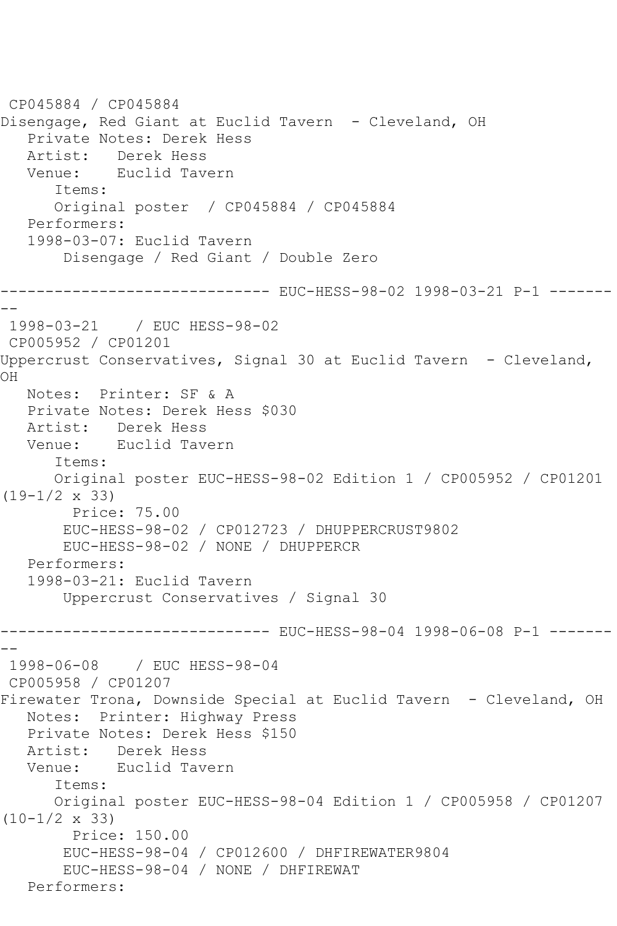```
CP045884 / CP045884
Disengage, Red Giant at Euclid Tavern - Cleveland, OH
   Private Notes: Derek Hess
  Artist: Derek Hess<br>Venue: Euclid Tav
            Euclid Tavern
       Items:
       Original poster / CP045884 / CP045884
   Performers:
    1998-03-07: Euclid Tavern
        Disengage / Red Giant / Double Zero
------------------------------ EUC-HESS-98-02 1998-03-21 P-1 -------
--
1998-03-21 / EUC HESS-98-02
CP005952 / CP01201
Uppercrust Conservatives, Signal 30 at Euclid Tavern - Cleveland, 
OH
   Notes: Printer: SF & A
   Private Notes: Derek Hess $030
   Artist: Derek Hess
   Venue: Euclid Tavern
       Items:
       Original poster EUC-HESS-98-02 Edition 1 / CP005952 / CP01201 
(19-1/2 x 33)
         Price: 75.00
        EUC-HESS-98-02 / CP012723 / DHUPPERCRUST9802
        EUC-HESS-98-02 / NONE / DHUPPERCR
   Performers:
    1998-03-21: Euclid Tavern
        Uppercrust Conservatives / Signal 30
------------------------------ EUC-HESS-98-04 1998-06-08 P-1 -------
--
1998-06-08 / EUC HESS-98-04
CP005958 / CP01207
Firewater Trona, Downside Special at Euclid Tavern - Cleveland, OH
   Notes: Printer: Highway Press
   Private Notes: Derek Hess $150
  Artist: Derek Hess<br>Venue: Euclid Tave
            Venue: Euclid Tavern
       Items:
       Original poster EUC-HESS-98-04 Edition 1 / CP005958 / CP01207 
(10-1/2 x 33)
         Price: 150.00
        EUC-HESS-98-04 / CP012600 / DHFIREWATER9804
        EUC-HESS-98-04 / NONE / DHFIREWAT
   Performers:
```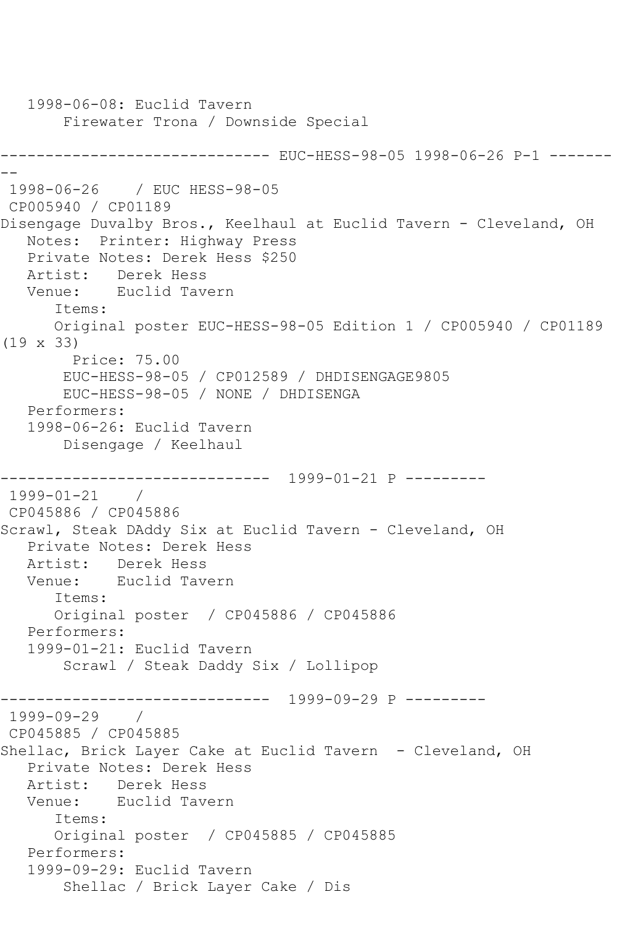```
 1998-06-08: Euclid Tavern
        Firewater Trona / Downside Special
              ---------------- EUC-HESS-98-05 1998-06-26 P-1 -------
--
1998-06-26 / EUC HESS-98-05
CP005940 / CP01189
Disengage Duvalby Bros., Keelhaul at Euclid Tavern - Cleveland, OH
   Notes: Printer: Highway Press
   Private Notes: Derek Hess $250
   Artist: Derek Hess
   Venue: Euclid Tavern
       Items:
       Original poster EUC-HESS-98-05 Edition 1 / CP005940 / CP01189 
(19 x 33)
         Price: 75.00
        EUC-HESS-98-05 / CP012589 / DHDISENGAGE9805
        EUC-HESS-98-05 / NONE / DHDISENGA
   Performers:
    1998-06-26: Euclid Tavern
        Disengage / Keelhaul
                ------------------------------ 1999-01-21 P ---------
1999-01-21 / 
CP045886 / CP045886
Scrawl, Steak DAddy Six at Euclid Tavern - Cleveland, OH
   Private Notes: Derek Hess
   Artist: Derek Hess
   Venue: Euclid Tavern
       Items:
      Original poster / CP045886 / CP045886
   Performers:
    1999-01-21: Euclid Tavern
        Scrawl / Steak Daddy Six / Lollipop
   -<mark>--------------------------</mark> 1999-09-29 P ---------<br>99-09-29   /
1999-09-29 / 
CP045885 / CP045885
Shellac, Brick Layer Cake at Euclid Tavern - Cleveland, OH
    Private Notes: Derek Hess
   Artist: Derek Hess
   Venue: Euclid Tavern
       Items:
       Original poster / CP045885 / CP045885
    Performers:
    1999-09-29: Euclid Tavern
        Shellac / Brick Layer Cake / Dis
```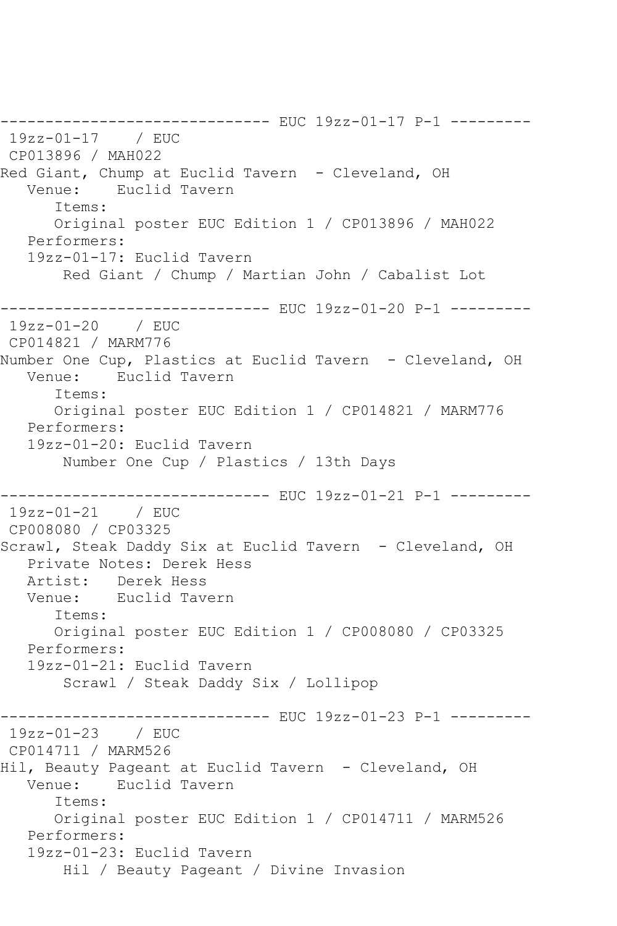------------------------------ EUC 19zz-01-17 P-1 --------- 19zz-01-17 / EUC CP013896 / MAH022 Red Giant, Chump at Euclid Tavern - Cleveland, OH Venue: Euclid Tavern Items: Original poster EUC Edition 1 / CP013896 / MAH022 Performers: 19zz-01-17: Euclid Tavern Red Giant / Chump / Martian John / Cabalist Lot ------------------------------ EUC 19zz-01-20 P-1 --------- 19zz-01-20 / EUC CP014821 / MARM776 Number One Cup, Plastics at Euclid Tavern - Cleveland, OH Venue: Euclid Tavern Items: Original poster EUC Edition 1 / CP014821 / MARM776 Performers: 19zz-01-20: Euclid Tavern Number One Cup / Plastics / 13th Days ------------------------------ EUC 19zz-01-21 P-1 --------- 19zz-01-21 / EUC CP008080 / CP03325 Scrawl, Steak Daddy Six at Euclid Tavern - Cleveland, OH Private Notes: Derek Hess Artist: Derek Hess Venue: Euclid Tavern Items: Original poster EUC Edition 1 / CP008080 / CP03325 Performers: 19zz-01-21: Euclid Tavern Scrawl / Steak Daddy Six / Lollipop ------------------------------ EUC 19zz-01-23 P-1 --------- 19zz-01-23 / EUC CP014711 / MARM526 Hil, Beauty Pageant at Euclid Tavern - Cleveland, OH<br>Venue: Euclid Tavern Venue: Euclid Tavern Items: Original poster EUC Edition 1 / CP014711 / MARM526 Performers: 19zz-01-23: Euclid Tavern Hil / Beauty Pageant / Divine Invasion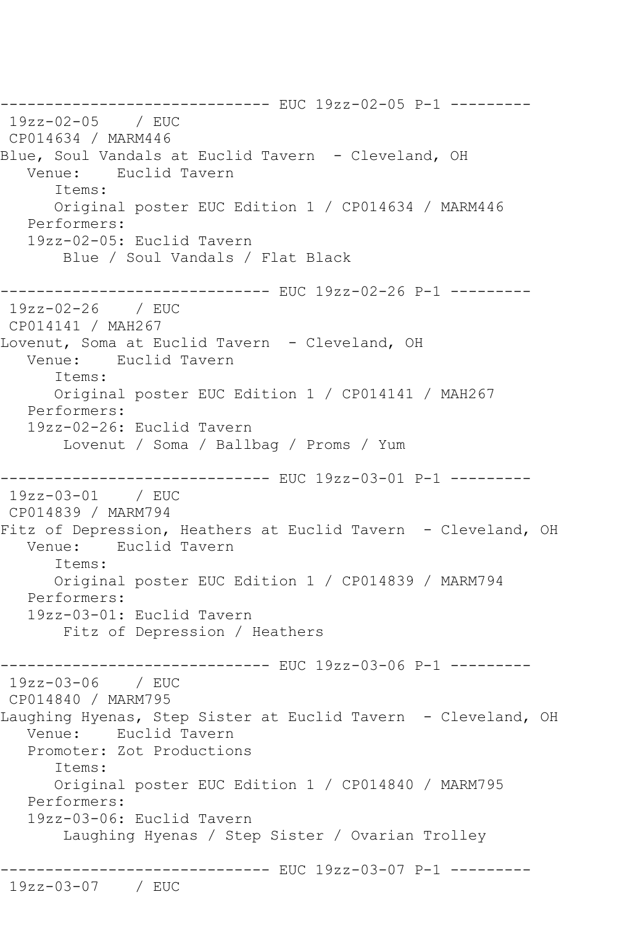------------------------------ EUC 19zz-02-05 P-1 --------- 19zz-02-05 / EUC CP014634 / MARM446 Blue, Soul Vandals at Euclid Tavern - Cleveland, OH<br>Venue: Euclid Tavern Euclid Tavern Items: Original poster EUC Edition 1 / CP014634 / MARM446 Performers: 19zz-02-05: Euclid Tavern Blue / Soul Vandals / Flat Black -------------------- EUC 19zz-02-26 P-1 ---------19zz-02-26 / EUC CP014141 / MAH267 Lovenut, Soma at Euclid Tavern - Cleveland, OH Venue: Euclid Tavern Items: Original poster EUC Edition 1 / CP014141 / MAH267 Performers: 19zz-02-26: Euclid Tavern Lovenut / Soma / Ballbag / Proms / Yum ------------------------------ EUC 19zz-03-01 P-1 --------- 19zz-03-01 / EUC CP014839 / MARM794 Fitz of Depression, Heathers at Euclid Tavern - Cleveland, OH<br>Venue: Euclid Tavern Euclid Tavern Items: Original poster EUC Edition 1 / CP014839 / MARM794 Performers: 19zz-03-01: Euclid Tavern Fitz of Depression / Heathers ------------------------------ EUC 19zz-03-06 P-1 --------- 19zz-03-06 / EUC CP014840 / MARM795 Laughing Hyenas, Step Sister at Euclid Tavern - Cleveland, OH Venue: Euclid Tavern Promoter: Zot Productions Items: Original poster EUC Edition 1 / CP014840 / MARM795 Performers: 19zz-03-06: Euclid Tavern Laughing Hyenas / Step Sister / Ovarian Trolley ------------------------------ EUC 19zz-03-07 P-1 --------- 19zz-03-07 / EUC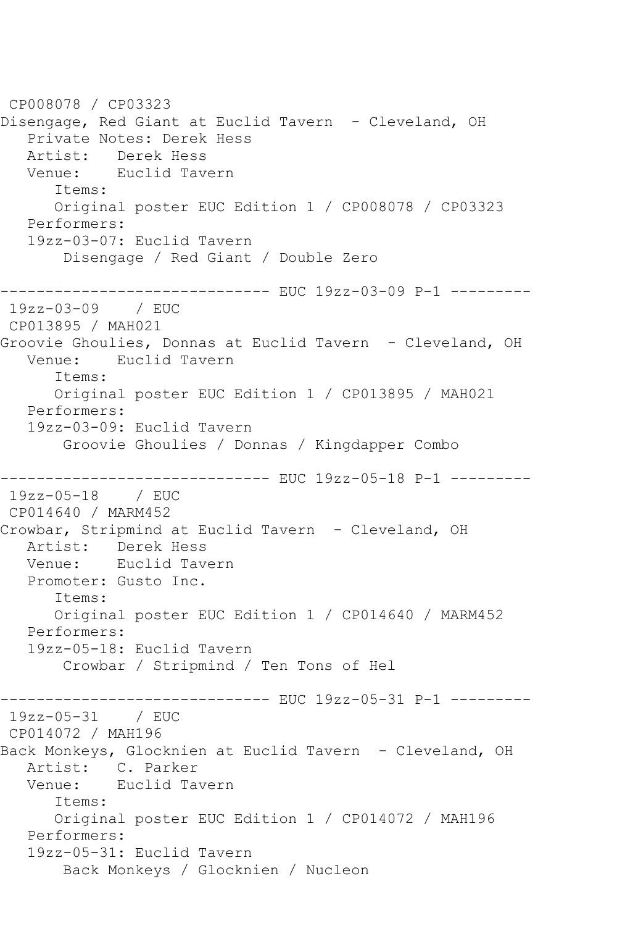CP008078 / CP03323 Disengage, Red Giant at Euclid Tavern - Cleveland, OH Private Notes: Derek Hess Artist: Derek Hess<br>Venue: Euclid Tave Euclid Tavern Items: Original poster EUC Edition 1 / CP008078 / CP03323 Performers: 19zz-03-07: Euclid Tavern Disengage / Red Giant / Double Zero ------------------------------ EUC 19zz-03-09 P-1 --------- 19zz-03-09 / EUC CP013895 / MAH021 Groovie Ghoulies, Donnas at Euclid Tavern - Cleveland, OH Venue: Euclid Tavern Items: Original poster EUC Edition 1 / CP013895 / MAH021 Performers: 19zz-03-09: Euclid Tavern Groovie Ghoulies / Donnas / Kingdapper Combo ------------------------------ EUC 19zz-05-18 P-1 --------- 19zz-05-18 / EUC CP014640 / MARM452 Crowbar, Stripmind at Euclid Tavern - Cleveland, OH Artist: Derek Hess Venue: Euclid Tavern Promoter: Gusto Inc. Items: Original poster EUC Edition 1 / CP014640 / MARM452 Performers: 19zz-05-18: Euclid Tavern Crowbar / Stripmind / Ten Tons of Hel ------------------------------ EUC 19zz-05-31 P-1 --------- 19zz-05-31 / EUC CP014072 / MAH196 Back Monkeys, Glocknien at Euclid Tavern - Cleveland, OH Artist: C. Parker<br>Venue: Euclid Ta Venue: Euclid Tavern Items: Original poster EUC Edition 1 / CP014072 / MAH196 Performers: 19zz-05-31: Euclid Tavern Back Monkeys / Glocknien / Nucleon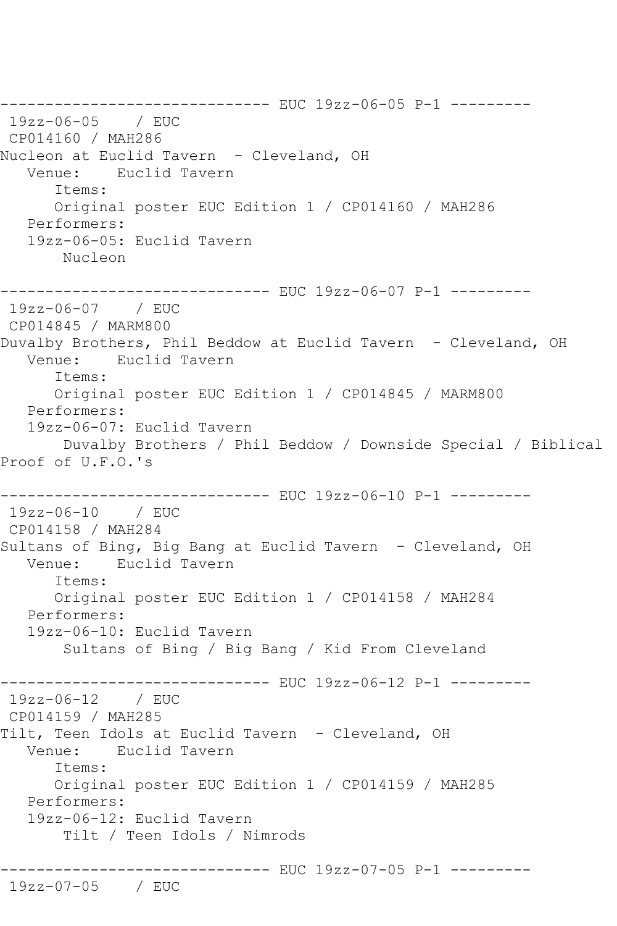------------------------------ EUC 19zz-06-05 P-1 --------- 19zz-06-05 / EUC CP014160 / MAH286 Nucleon at Euclid Tavern – Cleveland, OH<br>Venue: Euclid Tavern Euclid Tavern Items: Original poster EUC Edition 1 / CP014160 / MAH286 Performers: 19zz-06-05: Euclid Tavern Nucleon ------------------------------ EUC 19zz-06-07 P-1 --------- 19zz-06-07 / EUC CP014845 / MARM800 Duvalby Brothers, Phil Beddow at Euclid Tavern - Cleveland, OH Venue: Euclid Tavern Items: Original poster EUC Edition 1 / CP014845 / MARM800 Performers: 19zz-06-07: Euclid Tavern Duvalby Brothers / Phil Beddow / Downside Special / Biblical Proof of U.F.O.'s ------------------------------ EUC 19zz-06-10 P-1 --------- 19zz-06-10 / EUC CP014158 / MAH284 Sultans of Bing, Big Bang at Euclid Tavern - Cleveland, OH Venue: Euclid Tavern Items: Original poster EUC Edition 1 / CP014158 / MAH284 Performers: 19zz-06-10: Euclid Tavern Sultans of Bing / Big Bang / Kid From Cleveland ------------ EUC 19zz-06-12 P-1 ---------19zz-06-12 / EUC CP014159 / MAH285 Tilt, Teen Idols at Euclid Tavern - Cleveland, OH Venue: Euclid Tavern Items: Original poster EUC Edition 1 / CP014159 / MAH285 Performers: 19zz-06-12: Euclid Tavern Tilt / Teen Idols / Nimrods ------------------------------ EUC 19zz-07-05 P-1 --------- 19zz-07-05 / EUC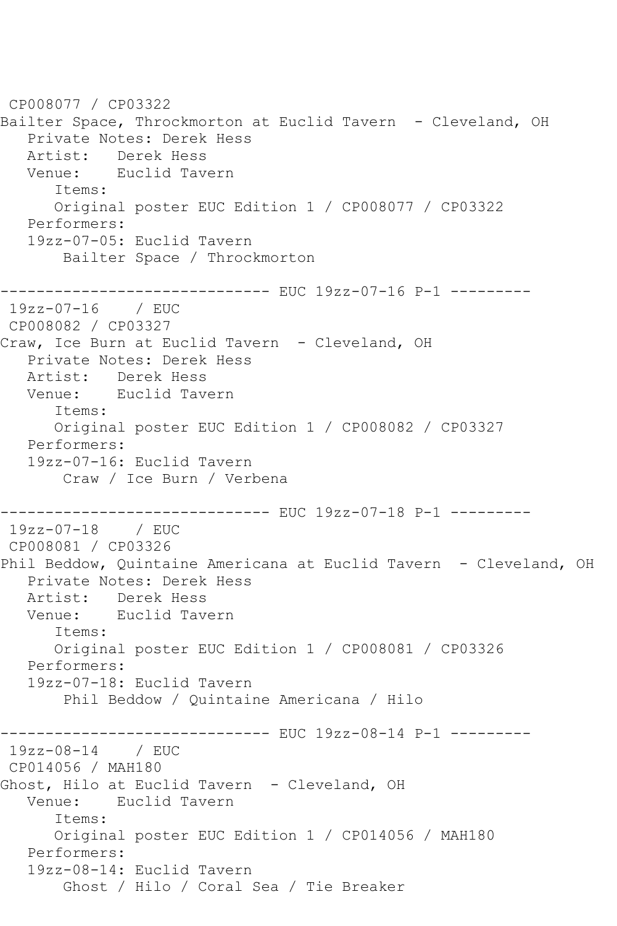CP008077 / CP03322 Bailter Space, Throckmorton at Euclid Tavern - Cleveland, OH Private Notes: Derek Hess Artist: Derek Hess<br>Venue: Euclid Tav Euclid Tavern Items: Original poster EUC Edition 1 / CP008077 / CP03322 Performers: 19zz-07-05: Euclid Tavern Bailter Space / Throckmorton ----------- EUC 19zz-07-16 P-1 ---------19zz-07-16 / EUC CP008082 / CP03327 Craw, Ice Burn at Euclid Tavern - Cleveland, OH Private Notes: Derek Hess Artist: Derek Hess Venue: Euclid Tavern Items: Original poster EUC Edition 1 / CP008082 / CP03327 Performers: 19zz-07-16: Euclid Tavern Craw / Ice Burn / Verbena ------------------------------ EUC 19zz-07-18 P-1 --------- 19zz-07-18 / EUC CP008081 / CP03326 Phil Beddow, Quintaine Americana at Euclid Tavern - Cleveland, OH Private Notes: Derek Hess Artist: Derek Hess Venue: Euclid Tavern Items: Original poster EUC Edition 1 / CP008081 / CP03326 Performers: 19zz-07-18: Euclid Tavern Phil Beddow / Quintaine Americana / Hilo ----------- EUC 19zz-08-14 P-1 ---------19zz-08-14 / EUC CP014056 / MAH180 Ghost, Hilo at Euclid Tavern - Cleveland, OH Venue: Euclid Tavern Items: Original poster EUC Edition 1 / CP014056 / MAH180 Performers: 19zz-08-14: Euclid Tavern Ghost / Hilo / Coral Sea / Tie Breaker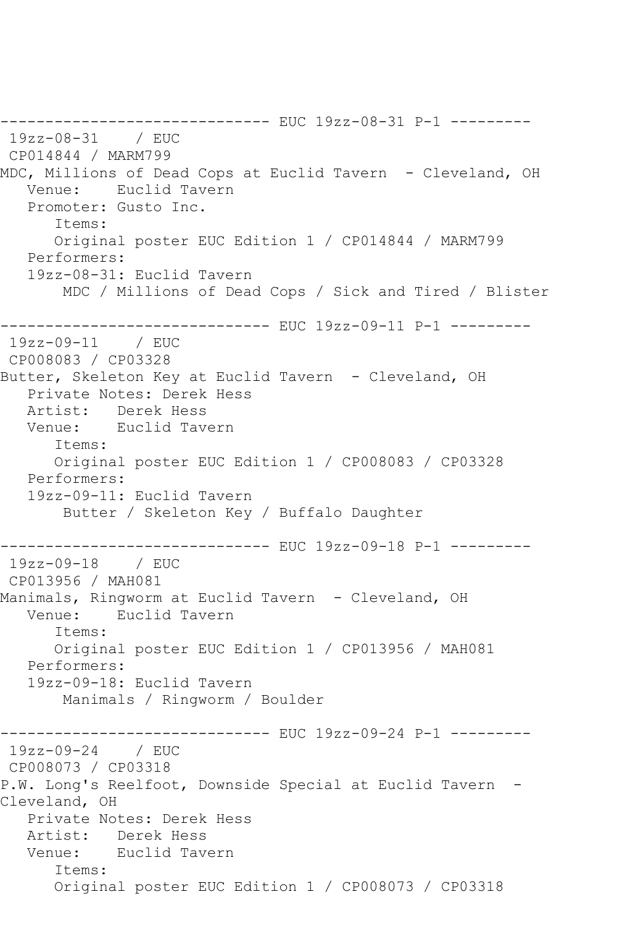------------------------------ EUC 19zz-08-31 P-1 --------- 19zz-08-31 / EUC CP014844 / MARM799 MDC, Millions of Dead Cops at Euclid Tavern - Cleveland, OH Venue: Euclid Tavern Promoter: Gusto Inc. Items: Original poster EUC Edition 1 / CP014844 / MARM799 Performers: 19zz-08-31: Euclid Tavern MDC / Millions of Dead Cops / Sick and Tired / Blister ------------------------------ EUC 19zz-09-11 P-1 --------- 19zz-09-11 / EUC CP008083 / CP03328 Butter, Skeleton Key at Euclid Tavern - Cleveland, OH Private Notes: Derek Hess Artist: Derek Hess Venue: Euclid Tavern Items: Original poster EUC Edition 1 / CP008083 / CP03328 Performers: 19zz-09-11: Euclid Tavern Butter / Skeleton Key / Buffalo Daughter ------------------------------ EUC 19zz-09-18 P-1 --------- 19zz-09-18 / EUC CP013956 / MAH081 Manimals, Ringworm at Euclid Tavern - Cleveland, OH Venue: Euclid Tavern Items: Original poster EUC Edition 1 / CP013956 / MAH081 Performers: 19zz-09-18: Euclid Tavern Manimals / Ringworm / Boulder ------------------------------ EUC 19zz-09-24 P-1 --------- 19zz-09-24 / EUC CP008073 / CP03318 P.W. Long's Reelfoot, Downside Special at Euclid Tavern -Cleveland, OH Private Notes: Derek Hess Artist: Derek Hess Venue: Euclid Tavern Items: Original poster EUC Edition 1 / CP008073 / CP03318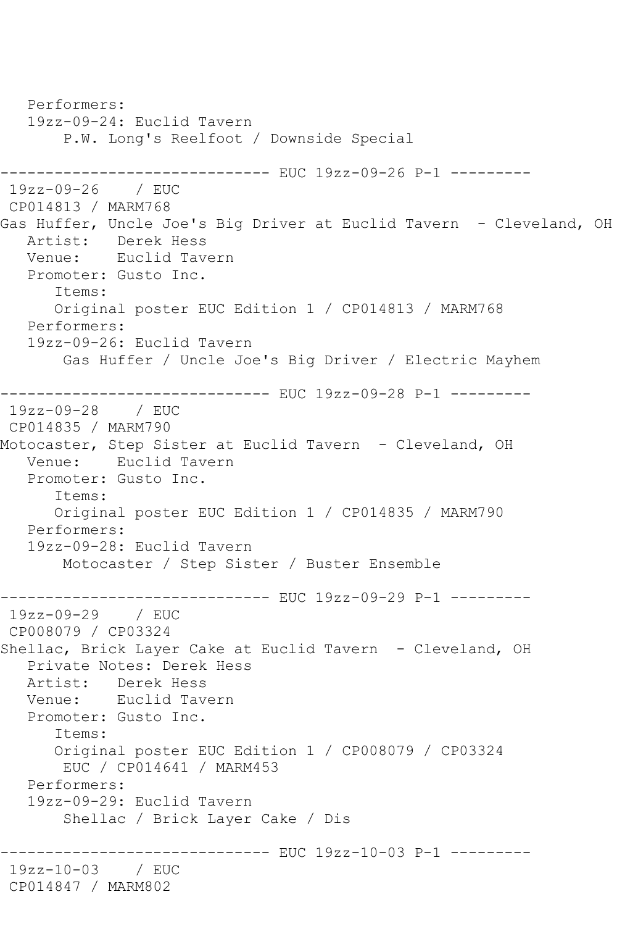Performers: 19zz-09-24: Euclid Tavern P.W. Long's Reelfoot / Downside Special ------------------------------ EUC 19zz-09-26 P-1 --------- 19zz-09-26 / EUC CP014813 / MARM768 Gas Huffer, Uncle Joe's Big Driver at Euclid Tavern - Cleveland, OH Artist: Derek Hess Venue: Euclid Tavern Promoter: Gusto Inc. Items: Original poster EUC Edition 1 / CP014813 / MARM768 Performers: 19zz-09-26: Euclid Tavern Gas Huffer / Uncle Joe's Big Driver / Electric Mayhem ------------------------------ EUC 19zz-09-28 P-1 --------- 19zz-09-28 / EUC CP014835 / MARM790 Motocaster, Step Sister at Euclid Tavern - Cleveland, OH Venue: Euclid Tavern Promoter: Gusto Inc. Items: Original poster EUC Edition 1 / CP014835 / MARM790 Performers: 19zz-09-28: Euclid Tavern Motocaster / Step Sister / Buster Ensemble ------------------------------ EUC 19zz-09-29 P-1 --------- 19zz-09-29 / EUC CP008079 / CP03324 Shellac, Brick Layer Cake at Euclid Tavern - Cleveland, OH Private Notes: Derek Hess Artist: Derek Hess Venue: Euclid Tavern Promoter: Gusto Inc. Items: Original poster EUC Edition 1 / CP008079 / CP03324 EUC / CP014641 / MARM453 Performers: 19zz-09-29: Euclid Tavern Shellac / Brick Layer Cake / Dis ------------ EUC 19zz-10-03 P-1 ----------19zz-10-03 / EUC CP014847 / MARM802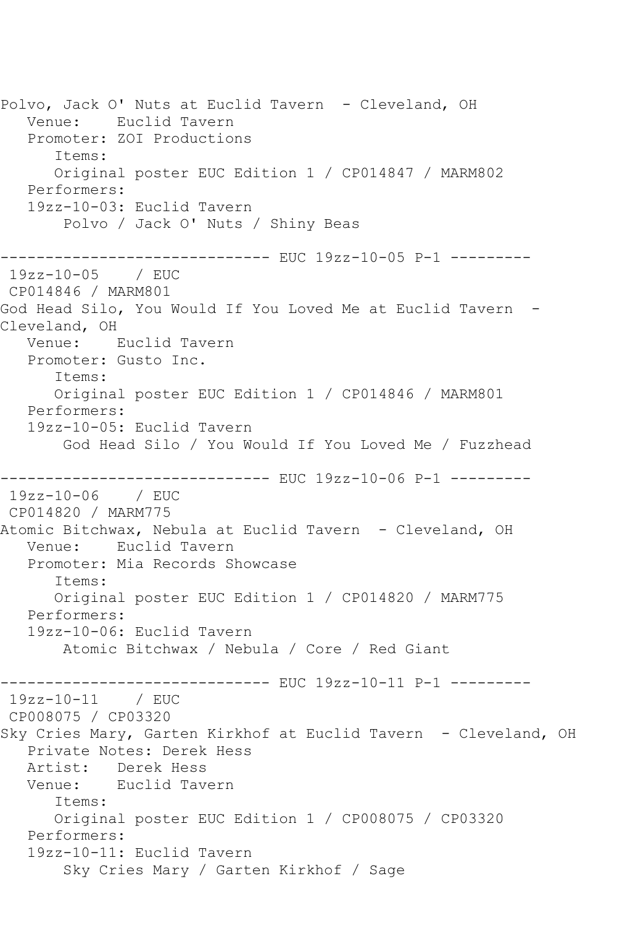Polvo, Jack O' Nuts at Euclid Tavern - Cleveland, OH Venue: Euclid Tavern Promoter: ZOI Productions Items: Original poster EUC Edition 1 / CP014847 / MARM802 Performers: 19zz-10-03: Euclid Tavern Polvo / Jack O' Nuts / Shiny Beas ------------------------------ EUC 19zz-10-05 P-1 --------- 19zz-10-05 / EUC CP014846 / MARM801 God Head Silo, You Would If You Loved Me at Euclid Tavern -Cleveland, OH Venue: Euclid Tavern Promoter: Gusto Inc. Items: Original poster EUC Edition 1 / CP014846 / MARM801 Performers: 19zz-10-05: Euclid Tavern God Head Silo / You Would If You Loved Me / Fuzzhead ------------------------------ EUC 19zz-10-06 P-1 --------- 19zz-10-06 / EUC CP014820 / MARM775 Atomic Bitchwax, Nebula at Euclid Tavern - Cleveland, OH Venue: Euclid Tavern Promoter: Mia Records Showcase Items: Original poster EUC Edition 1 / CP014820 / MARM775 Performers: 19zz-10-06: Euclid Tavern Atomic Bitchwax / Nebula / Core / Red Giant ------------------------------ EUC 19zz-10-11 P-1 --------- 19zz-10-11 / EUC CP008075 / CP03320 Sky Cries Mary, Garten Kirkhof at Euclid Tavern - Cleveland, OH Private Notes: Derek Hess Artist: Derek Hess Venue: Euclid Tavern Items: Original poster EUC Edition 1 / CP008075 / CP03320 Performers: 19zz-10-11: Euclid Tavern Sky Cries Mary / Garten Kirkhof / Sage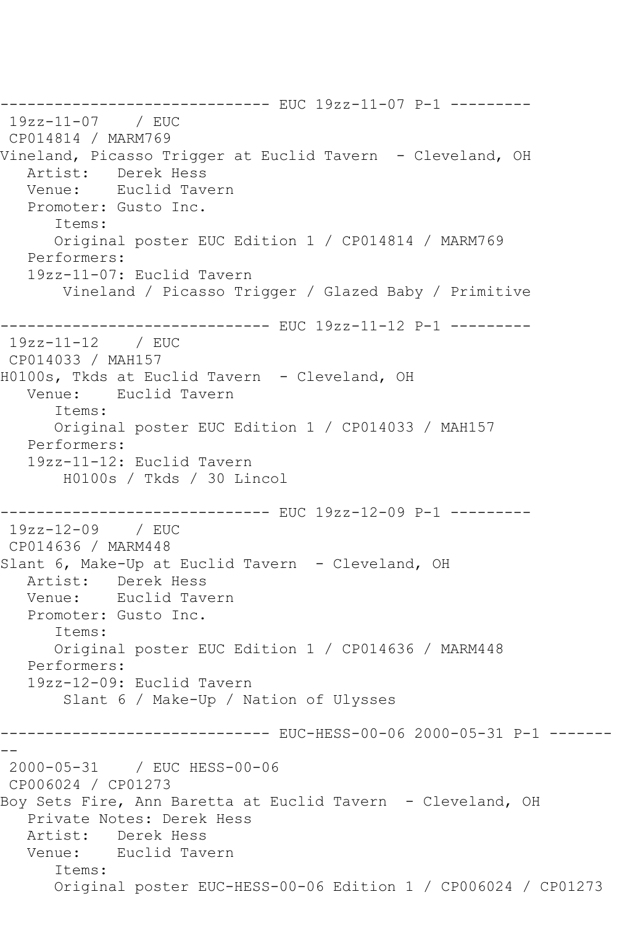------------------------------ EUC 19zz-11-07 P-1 --------- 19zz-11-07 / EUC CP014814 / MARM769 Vineland, Picasso Trigger at Euclid Tavern - Cleveland, OH Artist: Derek Hess Venue: Euclid Tavern Promoter: Gusto Inc. Items: Original poster EUC Edition 1 / CP014814 / MARM769 Performers: 19zz-11-07: Euclid Tavern Vineland / Picasso Trigger / Glazed Baby / Primitive ------------------------------ EUC 19zz-11-12 P-1 --------- 19zz-11-12 / EUC CP014033 / MAH157 H0100s, Tkds at Euclid Tavern - Cleveland, OH Venue: Euclid Tavern Items: Original poster EUC Edition 1 / CP014033 / MAH157 Performers: 19zz-11-12: Euclid Tavern H0100s / Tkds / 30 Lincol ------------------------------ EUC 19zz-12-09 P-1 --------- 19zz-12-09 / EUC CP014636 / MARM448 Slant 6, Make-Up at Euclid Tavern - Cleveland, OH Artist: Derek Hess Venue: Euclid Tavern Promoter: Gusto Inc. Items: Original poster EUC Edition 1 / CP014636 / MARM448 Performers: 19zz-12-09: Euclid Tavern Slant 6 / Make-Up / Nation of Ulysses ------------------------------ EUC-HESS-00-06 2000-05-31 P-1 ------- -- 2000-05-31 / EUC HESS-00-06 CP006024 / CP01273 Boy Sets Fire, Ann Baretta at Euclid Tavern - Cleveland, OH Private Notes: Derek Hess Artist: Derek Hess Venue: Euclid Tavern Items: Original poster EUC-HESS-00-06 Edition 1 / CP006024 / CP01273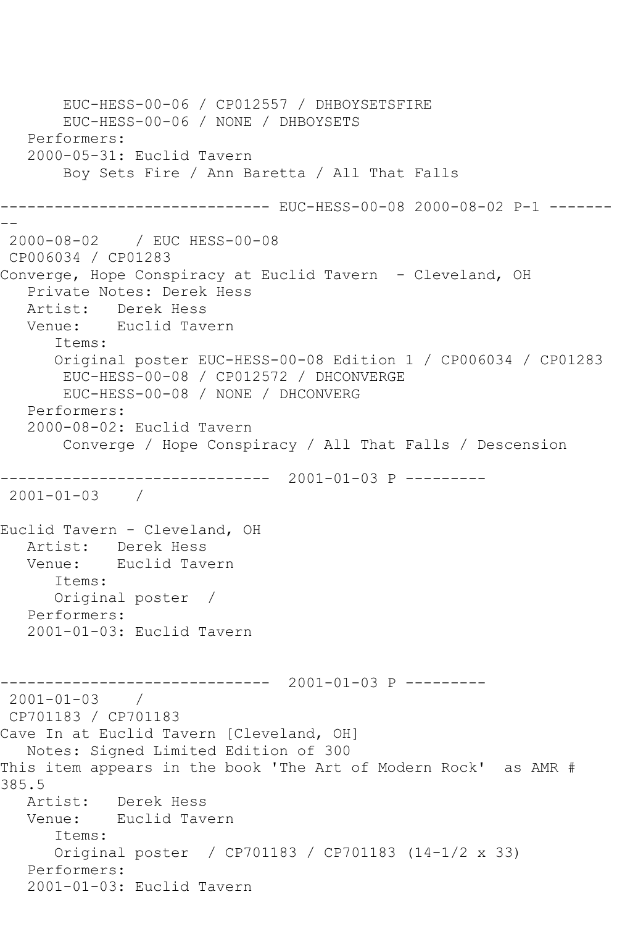```
 EUC-HESS-00-06 / CP012557 / DHBOYSETSFIRE
        EUC-HESS-00-06 / NONE / DHBOYSETS
    Performers:
    2000-05-31: Euclid Tavern
        Boy Sets Fire / Ann Baretta / All That Falls
------------------------------ EUC-HESS-00-08 2000-08-02 P-1 -------
--
2000-08-02 / EUC HESS-00-08
CP006034 / CP01283
Converge, Hope Conspiracy at Euclid Tavern - Cleveland, OH
    Private Notes: Derek Hess
   Artist: Derek Hess
   Venue: Euclid Tavern
       Items:
       Original poster EUC-HESS-00-08 Edition 1 / CP006034 / CP01283
        EUC-HESS-00-08 / CP012572 / DHCONVERGE
        EUC-HESS-00-08 / NONE / DHCONVERG
   Performers:
    2000-08-02: Euclid Tavern
        Converge / Hope Conspiracy / All That Falls / Descension
    ------------------------------ 2001-01-03 P ---------
2001-01-03 / 
Euclid Tavern - Cleveland, OH
  Artist: Derek Hess<br>Venue: Euclid Tav
            Euclid Tavern
       Items:
       Original poster / 
   Performers:
    2001-01-03: Euclid Tavern
                   ------------------------------ 2001-01-03 P ---------
2001-01-03 / 
CP701183 / CP701183
Cave In at Euclid Tavern [Cleveland, OH]
   Notes: Signed Limited Edition of 300
This item appears in the book 'The Art of Modern Rock' as AMR # 
385.5
   Artist: Derek Hess
   Venue: Euclid Tavern
       Items:
       Original poster / CP701183 / CP701183 (14-1/2 x 33)
   Performers:
    2001-01-03: Euclid Tavern
```